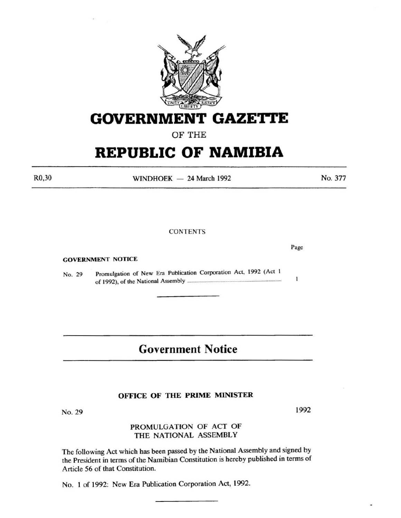

# **GOVERNMENT GAZE'ri'E**

# OF THE

# **REPUBLIC OF NAMIBIA**

 $WINDHOEK - 24 March 1992$ 

## **CONTENTS**

GOVERNMENT NOTICE

No. 29 Promulgation of New Era Publication Corporation Act, 1992 (Act I of 1992), of the National Assembly ......

# **Government Notice**

### OFFICE OF THE PRIME MINISTER

No. 29

# PROMULGATION OF ACT OF THE NATIONAL ASSEMBLY

The following Act which has been passed by the National Assembly and signed by the President in terms of the Namibian Constitution is hereby published in terms of Article 56 of that Constitution.

No. 1 of 1992: New Era Publication Corporation Act, 1992.

1992

No. 377

Page

 $\mathbf{1}$ 

R0,30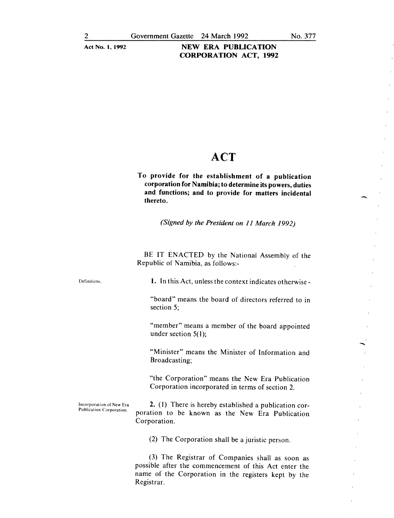### Act No. 1, 1992 NEW ERA PUBLICATION CORPORATION ACT, 1992

# **ACT**

To provide for the establishment of a publication corporation for Namibia; to determine its powers, duties and functions; and to provide for matters incidental thereto.

*(Signed by the President on 11 March 1992)* 

BE IT ENACTED by the National Assembly of the Republic of Namibia, as follows:-

Definition;.

Publication Corporation.

1. In this Act, unless the context indicates otherwise-

"board" means the board of directors referred to in section 5;

"member" means a member of the board appointed under section  $5(1)$ ;

"Minister" means the Minister of Information and Broadcasting;

"the Corporation" means the New Era Publication Corporation incorporated in terms of section 2.

Incorporation of New Era 2. (1) There is hereby established a publication corporation to be known as the New Era Publication Corporation.

(2) The Corporation shall be a juristic person.

(3) The Registrar of Companies shall as soon as possible after the commencement of this Act enter the name of the Corporation in the registers kept by the Registrar.

-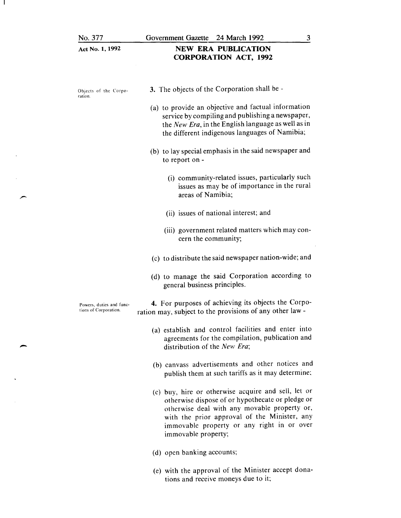No. 377

-

 $\mathbf{I}$ 

|  |  |  | Act No. 1, 1992 |
|--|--|--|-----------------|
|--|--|--|-----------------|

# NEW ERA PUBLICATION CORPORATION ACT, 1992

| Objects of the Corpo-<br>ration.                  | 3. The objects of the Corporation shall be -                                                                                                                                                                                                                                 |
|---------------------------------------------------|------------------------------------------------------------------------------------------------------------------------------------------------------------------------------------------------------------------------------------------------------------------------------|
|                                                   | (a) to provide an objective and factual information<br>service by compiling and publishing a newspaper,<br>the New Era, in the English language as well as in<br>the different indigenous languages of Namibia;                                                              |
|                                                   | (b) to lay special emphasis in the said newspaper and<br>to report on -                                                                                                                                                                                                      |
|                                                   | (i) community-related issues, particularly such<br>issues as may be of importance in the rural<br>areas of Namibia;                                                                                                                                                          |
|                                                   | (ii) issues of national interest; and                                                                                                                                                                                                                                        |
|                                                   | (iii) government related matters which may con-<br>cern the community;                                                                                                                                                                                                       |
|                                                   | (c) to distribute the said newspaper nation-wide; and                                                                                                                                                                                                                        |
|                                                   | (d) to manage the said Corporation according to<br>general business principles.                                                                                                                                                                                              |
| Powers, duties and func-<br>tions of Corporation. | 4. For purposes of achieving its objects the Corpo-<br>ration may, subject to the provisions of any other law -                                                                                                                                                              |
|                                                   | (a) establish and control facilities and enter into<br>agreements for the compilation, publication and<br>distribution of the New Era;                                                                                                                                       |
|                                                   | (b) canvass advertisements and other notices and<br>publish them at such tariffs as it may determine;                                                                                                                                                                        |
|                                                   | (c) buy, hire or otherwise acquire and sell, let or<br>otherwise dispose of or hypothecate or pledge or<br>otherwise deal with any movable property or,<br>with the prior approval of the Minister, any<br>immovable property or any right in or over<br>immovable property; |
|                                                   | (d) open banking accounts;                                                                                                                                                                                                                                                   |

(e) with the approval of the Minister accept donations and receive moneys due to it;

3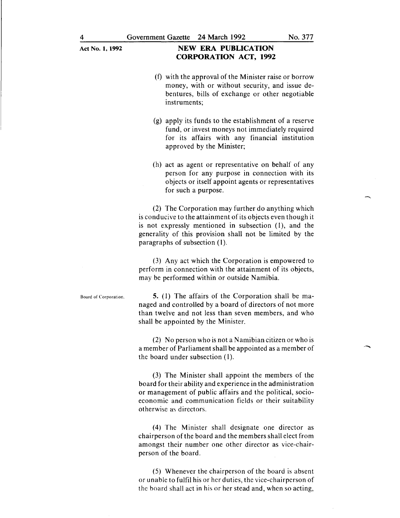## Act No. 1, 1992 **NEW ERA PUBLICATION CORPORATION ACT, 1992**

- (f) with the approval of the Minister raise or borrow money, with or without security, and issue debentures, bills of exchange or other negotiable instruments;
- (g) apply its funds to the establishment of a reserve fund, or invest moneys not immediately required for its affairs with any financial institution approved by the Minister;
- (h) act as agent or representative on behalf of any person for any purpose in connection with its objects or itself appoint agents or representatives for such a purpose.

(2) The Corporation may further do anything which is conducive to the attainment of its objects even though it is not expressly mentioned in subsection (I), and the generality of this provision shall not be limited by the paragraphs of subsection (1).

(3) Any act which the Corporation is empowered to perform in connection with the attainment of its objects, may be performed within or outside Namibia.

Board of Corporation.

5. (I) The affairs of the Corporation shall be managed and controlled by a board of directors of not more than twelve and not less than seven members, and who shall be appointed by the Minister.

(2) No person who is not aN amibian citizen or who is a member of Parliament shall be appointed as a member of the board under subsection (I).

(3) The Minister shall appoint the members of the board for their ability and experience in the administration or management of public affairs and the political, socioeconomic and communication fields or their suitability otherwise as directors.

( 4) The Minister shall designate one director as chairperson of the board and the members shall elect from amongst their number one other director as vice-chairperson of the board.

(5) Whenever the chairperson of the board is absent or unable to fulfil his or her duties, the vice-chairperson of the board shall act in his or her stead and, when so acting,

 $\overline{\phantom{0}}$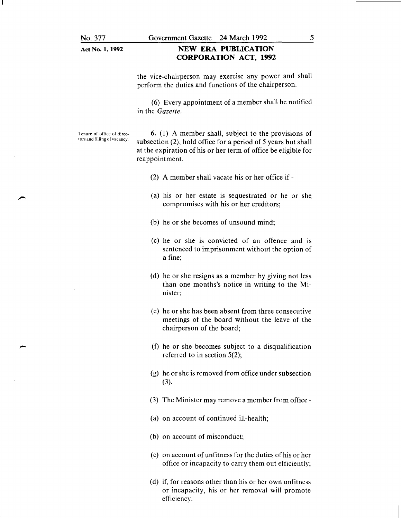Act No. 1, 1992

### NEW ERA PUBLICATION CORPORATION ACT, 1992

the vice-chairperson may exercise any power and shall perform the duties and functions of the chairperson.

( 6) Every appointment of a member shall be notified in the *Gazette.* 

Tenure of office of direc· tors and filling of vacancy.

-

6. (1) A member shall, subject to the provisions of subsection (2), hold office for a period of 5 years but shall at the expiration of his or her term of office be eligible for reappointment.

- (2) A member shall vacate his or her office if-
- (a) his or her estate is sequestrated or he or she compromises with his or her creditors;
- (b) he or she becomes of unsound mind;
- (c) he or she is convicted of an offence and is sentenced to imprisonment without the option of a fine;
- (d) he or she resigns as a member by giving not less than one months's notice in writing to the Minister;
- (e) he or she has been absent from three consecutive meetings of the board without the leave of the chairperson of the board;
- (f) he or she becomes subject to a disqualification referred to in section 5(2);
- (g) he or she is removed from office under subsection (3).
- (3) The Minister may remove a member from office-
- (a) on account of continued ill-health;
- (b) on account of misconduct;
- (c) on account of unfitness for the duties of his or her office or incapacity to carry them out efficiently;
- (d) if, for reasons other than his or her own unfitness or incapacity, his or her removal will promote efficiency.

5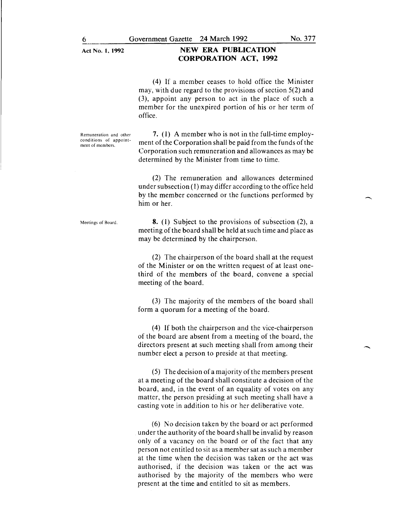(4) If a member ceases to hold office the Minister may, with due regard to the provisions of section 5(2) and (3), appoint any person to act in the place of such a member for the unexpired portion of his or her term of office.

Remuneration and other conditions of appointment of members.

7. (1) A member who is not in the full-time employment of the Corporation shall be paid from the funds of the Corporation such remuneration and allowances as may be determined by the Minister from time to time.

(2) The remuneration and allowances determined under subsection (I) may differ according to the office held by the member concerned or the functions performed by him or her.

Meetings of Board.

8. (I) Subject to the provisions of subsection (2), a meeting of the board shall be held at such time and place as may be determined by the chairperson.

(2) The chairperson of the board shall at the request of the Minister or on the written request of at least onethird of the members of the board, convene a special meeting of the board.

(3) The majority of the members of the board shall form a quorum for a meeting of the board.

( 4) If both the chairperson and the vice-chairperson of the board are absent from a meeting of the board, the directors present at such meeting shall from among their number elect a person to preside at that meeting.

(5) The decision of a majority of the members present at a meeting of the board shall constitute a decision of the board, and, in the event of an equality of votes on any matter, the person presiding at such meeting shall have a casting vote in addition to his or her deliberative vote.

(6) No decision taken by the board or act performed under the authority of the board shall be invalid by reason only of a vacancy on the board or of the fact that any person not entitled to sit as a member sat as such a member at the time when the decision was taken or the act was authorised, if the decision was taken or the act was authorised by the majority of the members who were present at the time and entitled to sit as members.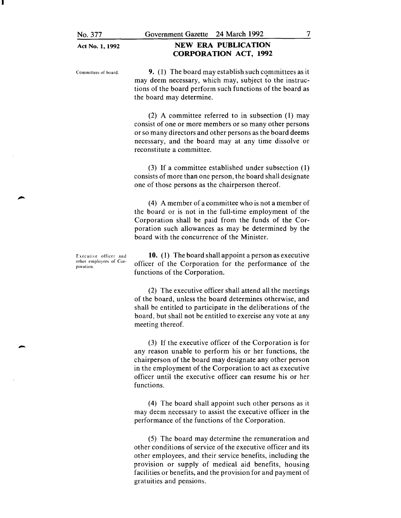#### Act No. 1, 1992

No. 377

# NEW ERA PUBLICATION CORPORATION ACT, 1992

Committees of board.

9. (I) The board may establish such committees as it may deem necessary, which may, subject to the instructions of the board perform such functions of the board as the board may determine.

(2) A committee referred to in subsection (I) may consist of one or more members or so many other persons or so many directors and other persons as the board deems necessary, and the board may at any time dissolve or reconstitute a committee.

(3) If a committee established under subsection (I) consists of more than one person, the board shall designate one of those persons as the chairperson thereof.

(4) A member of a committee who is not a member of the board or is not in the full-time employment of the Corporation shall be paid from the funds of the Corporation such allowances as may be determined by the board with the concurrence of the Minister.

Executive officer and other employees of Corporation.

-

10. (I) The board shall appoint a person as executive officer of the Corporation for the performance of the functions of the Corporation.

(2) The executive officer shall attend all the meetings of the board, unless the board determines otherwise, and shall be entitled to participate in the deliberations of the board, but shall not be entitled to exercise any vote at any meeting thereof.

(3) If the executive officer of the Corporation is for any reason unable to perform his or her functions, the chairperson of the board may designate any other person in the employment of the Corporation to act as executive officer until the executive officer can resume his or her functions.

( 4) The board shall appoint such other persons as it may deem necessary to assist the executive officer in the performance of the functions of the Corporation.

(5) The board may determine the remuneration and other conditions of service of the executive officer and its other employees, and their service benefits, including the provision or supply of medical aid benefits, housing facilities or benefits, and the provision for and payment of gratuities and pensions.

7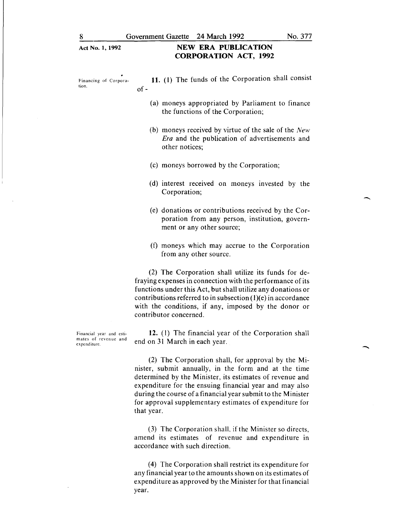### Act No. **1,** 1992 **NEW ERA PUBLICATION CORPORATION ACT, 1992**

| Financing of Corpora-<br>tion. | 11. (1) The funds of the Corporation shall consist<br>$of -$                                                                   |
|--------------------------------|--------------------------------------------------------------------------------------------------------------------------------|
|                                | (a) moneys appropriated by Parliament to finance<br>the functions of the Corporation;                                          |
|                                | (b) moneys received by virtue of the sale of the New<br><i>Era</i> and the publication of advertisements and<br>other notices; |
|                                | (c) moneys borrowed by the Corporation;                                                                                        |
|                                | (d) interest received on moneys invested by the<br>Corporation;                                                                |
|                                |                                                                                                                                |

- (e) donations or contributions received by the Corporation from any person, institution, government or any other source;
- (f) moneys which may accrue to the Corporation from any other source.

(2) The Corporation shall utilize its funds for defraying expenses in connection with the performance of its functions under this Act, but shall utilize any donations or contributions referred to in subsection  $(1)(e)$  in accordance with the conditions, if any, imposed by the donor or contributor concerned.

**12.** ( l) The financial year of the Corporation shall end on 31 March in each year.

(2) The Corporation shall, for approval by the Minister, submit annually, in the form and at the time determined by the Minister, its estimates of revenue and expenditure for the ensuing financial year and may also during the course of a financial year submit to the Minister for approval supplementary estimates of expenditure for that year.

(3) The Corporation shall, if the Minister so directs, amend its estimates of revenue and expenditure in accordance with such direction.

(4) The Corporation shall restrict its expenditure for any financial year to the amounts shown on its estimates of expenditure as approved by the Minister for that financial year.

Financial year and estimates of revenue and expenditure.

-

-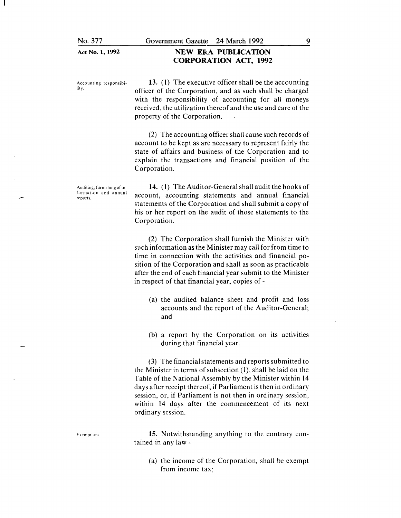Act No. 1, 1992

### NEW ERA PUBLICATION CORPORATION ACT, 1992

Accounting responsibility.

13. (l) The executive officer shall be the accounting officer of the Corporation, and as such shall be charged with the responsibility of accounting for all moneys received, the utilization thereof and the use and care of the property of the Corporation.

(2) The accounting officer shall cause such records of account to be kept as are necessary to represent fairly the state of affairs and business of the Corporation and to explain the transactions and financial position of the Corporation.

Auditing, furnishing of information and annual reports.

14. (I) The Auditor-General shall audit the books of account, accounting statements and annual financial statements of the Corporation and shall submit a copy of his or her report on the audit of those statements to the Corporation.

(2) The Corporation shall furnish the Minister with such information as the Minister may call for from time to time in connection with the activities and financial position of the Corporation and shall as soon as practicable after the end of each financial year submit to the Minister in respect of that financial year, copies of-

- (a) the audited balance sheet and profit and loss accounts and the report of the Auditor-General; and
- (b) a report by the Corporation on its activities during that financial year.

(3) The financial statements and reports submitted to the Minister in terms of subsection  $(1)$ , shall be laid on the Table of the National Assembly by the Minister within 14 days after receipt thereof, if Parliament is then in ordinary session, or, if Parliament is not then in ordinary session, within 14 days after the commencement of its next ordinary session.

15. Notwithstanding anything to the contrary contained in any law-

(a) the income of the Corporation, shall be exempt from income tax;

Exemptions.